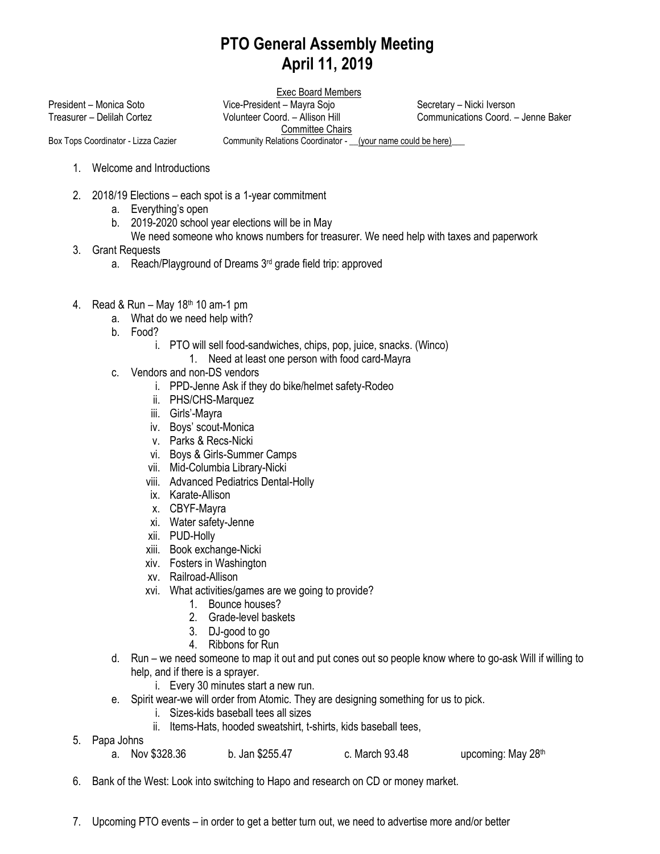## **PTO General Assembly Meeting April 11, 2019**

Exec Board Members

President – Monica Soto Vice-President – Mayra Sojo Secretary – Nicki Iverson

Treasurer – Delilah Cortez Volunteer Coord. – Allison Hill Communications Coord. – Jenne Baker

Committee Chairs

Box Tops Coordinator - Lizza Cazier Community Relations Coordinator - \_\_(your name could be here)\_\_\_

- 1. Welcome and Introductions
- 2. 2018/19 Elections each spot is a 1-year commitment
	- a. Everything's open
	- b. 2019-2020 school year elections will be in May
		- We need someone who knows numbers for treasurer. We need help with taxes and paperwork
- 3. Grant Requests
	- a. Reach/Playground of Dreams 3rd grade field trip: approved
- 4. Read & Run May  $18<sup>th</sup> 10$  am-1 pm
	- a. What do we need help with?
	- b. Food?
		- i. PTO will sell food-sandwiches, chips, pop, juice, snacks. (Winco)
			- 1. Need at least one person with food card-Mayra
	- c. Vendors and non-DS vendors
		- i. PPD-Jenne Ask if they do bike/helmet safety-Rodeo
		- ii. PHS/CHS-Marquez
		- iii. Girls'-Mayra
		- iv. Boys' scout-Monica
		- v. Parks & Recs-Nicki
		- vi. Boys & Girls-Summer Camps
		- vii. Mid-Columbia Library-Nicki
		- viii. Advanced Pediatrics Dental-Holly
		- ix. Karate-Allison
		- x. CBYF-Mayra
		- xi. Water safety-Jenne
		- xii. PUD-Holly
		- xiii. Book exchange-Nicki
		- xiv. Fosters in Washington
		- xv. Railroad-Allison
		- xvi. What activities/games are we going to provide?
			- 1. Bounce houses?
			- 2. Grade-level baskets
			- 3. DJ-good to go
			- 4. Ribbons for Run
	- d. Run we need someone to map it out and put cones out so people know where to go-ask Will if willing to help, and if there is a sprayer.
		- i. Every 30 minutes start a new run.
	- e. Spirit wear-we will order from Atomic. They are designing something for us to pick.
		- i. Sizes-kids baseball tees all sizes
		- ii. Items-Hats, hooded sweatshirt, t-shirts, kids baseball tees,
- 5. Papa Johns
	- a. Nov \$328.36 b. Jan \$255.47 c. March 93.48 upcoming: May 28th
- 6. Bank of the West: Look into switching to Hapo and research on CD or money market.
- 7. Upcoming PTO events in order to get a better turn out, we need to advertise more and/or better